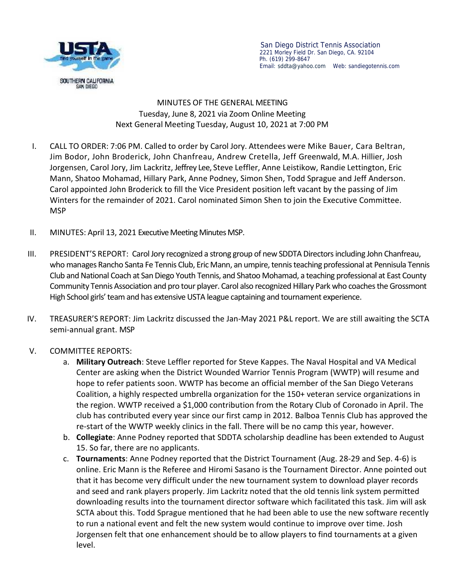

San Diego District Tennis Association 2221 Morley Field Dr. San Diego, CA. 92104 Ph. (619) 299-8647 Email: sddta@yahoo.com Web:sandiegotennis.com

## MINUTES OF THE GENERAL MEETING Tuesday, June 8, 2021 via Zoom Online Meeting Next General Meeting Tuesday, August 10, 2021 at 7:00 PM

- I. CALL TO ORDER: 7:06 PM.Called to order by Carol Jory. Attendees were Mike Bauer, Cara Beltran, Jim Bodor, John Broderick, John Chanfreau, Andrew Cretella, Jeff Greenwald, M.A. Hillier, Josh Jorgensen, Carol Jory, Jim Lackritz, Jeffrey Lee, Steve Leffler, Anne Leistikow, Randie Lettington, Eric Mann, Shatoo Mohamad, Hillary Park, Anne Podney, Simon Shen, Todd Sprague and Jeff Anderson. Carol appointed John Broderick to fill the Vice President position left vacant by the passing of Jim Winters for the remainder of 2021. Carol nominated Simon Shen to join the Executive Committee. MSP
- II. MINUTES: April 13, 2021 Executive Meeting Minutes MSP.
- III. PRESIDENT'S REPORT: Carol Jory recognized a strong group of new SDDTA Directorsincluding John Chanfreau, who manages Rancho Santa Fe Tennis Club, Eric Mann, an umpire, tennis teaching professional at Pennisula Tennis Club and National Coach at San Diego Youth Tennis, and Shatoo Mohamad, a teaching professional at East County Community Tennis Association and pro tour player. Carol also recognized Hillary Park who coaches the Grossmont High School girls' team and has extensive USTA league captaining and tournament experience.
- IV. TREASURER'S REPORT: Jim Lackritz discussed the Jan-May 2021 P&L report. We are still awaiting the SCTA semi-annual grant. MSP

## V. COMMITTEE REPORTS:

- a. **Military Outreach**: Steve Leffler reported for Steve Kappes. The Naval Hospital and VA Medical Center are asking when the District Wounded Warrior Tennis Program (WWTP) will resume and hope to refer patients soon. WWTP has become an official member of the San Diego Veterans Coalition, a highly respected umbrella organization for the 150+ veteran service organizations in the region. WWTP received a \$1,000 contribution from the Rotary Club of Coronado in April. The club has contributed every year since our first camp in 2012. Balboa Tennis Club has approved the re-start of the WWTP weekly clinics in the fall. There will be no camp this year, however.
- b. **Collegiate**: Anne Podney reported that SDDTA scholarship deadline has been extended to August 15. So far, there are no applicants.
- c. **Tournaments**: Anne Podney reported that the District Tournament (Aug. 28-29 and Sep. 4-6) is online. Eric Mann is the Referee and Hiromi Sasano is the Tournament Director. Anne pointed out that it has become very difficult under the new tournament system to download player records and seed and rank players properly. Jim Lackritz noted that the old tennis link system permitted downloading results into the tournament director software which facilitated this task. Jim will ask SCTA about this. Todd Sprague mentioned that he had been able to use the new software recently to run a national event and felt the new system would continue to improve over time. Josh Jorgensen felt that one enhancement should be to allow players to find tournaments at a given level.